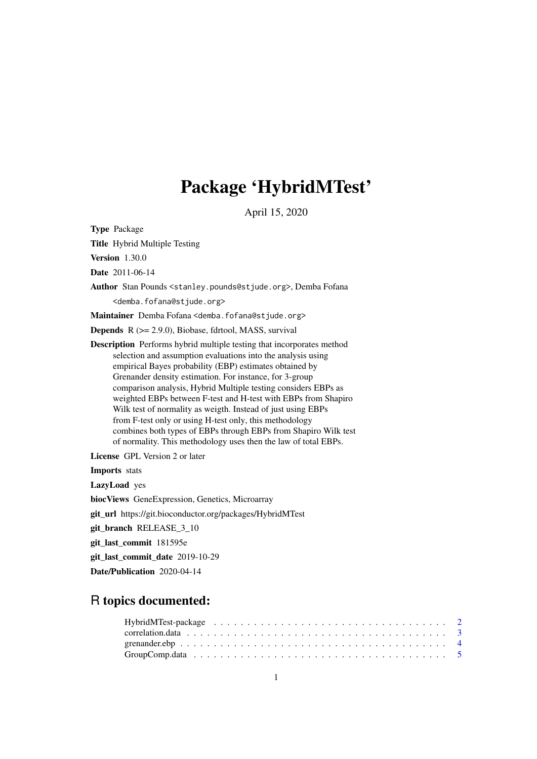# Package 'HybridMTest'

April 15, 2020

<span id="page-0-0"></span>Type Package

Title Hybrid Multiple Testing

Version 1.30.0

Date 2011-06-14

Author Stan Pounds <stanley.pounds@stjude.org>, Demba Fofana <demba.fofana@stjude.org>

Maintainer Demba Fofana <demba.fofana@stjude.org>

**Depends**  $R$  ( $>= 2.9.0$ ), Biobase, fdrtool, MASS, survival

Description Performs hybrid multiple testing that incorporates method selection and assumption evaluations into the analysis using empirical Bayes probability (EBP) estimates obtained by Grenander density estimation. For instance, for 3-group comparison analysis, Hybrid Multiple testing considers EBPs as weighted EBPs between F-test and H-test with EBPs from Shapiro Wilk test of normality as weigth. Instead of just using EBPs from F-test only or using H-test only, this methodology combines both types of EBPs through EBPs from Shapiro Wilk test of normality. This methodology uses then the law of total EBPs.

License GPL Version 2 or later

Imports stats

LazyLoad yes

biocViews GeneExpression, Genetics, Microarray

git\_url https://git.bioconductor.org/packages/HybridMTest

git\_branch RELEASE\_3\_10

git\_last\_commit 181595e

git\_last\_commit\_date 2019-10-29

Date/Publication 2020-04-14

# R topics documented: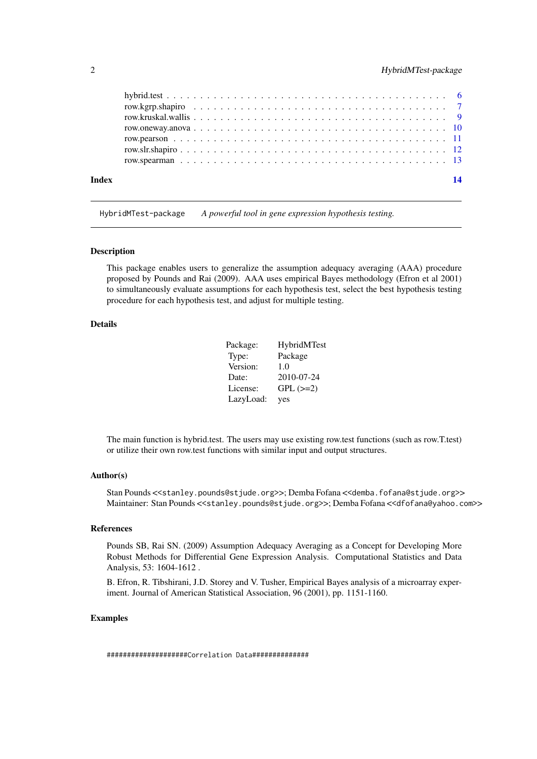# <span id="page-1-0"></span>2 a material dependence of the extension of the HybridMTest-package of the extension of the HybridMTest-package

| <b>Index</b> | 14 |
|--------------|----|
|              |    |
|              |    |
|              |    |
|              |    |
|              |    |
|              |    |
|              |    |

HybridMTest-package *A powerful tool in gene expression hypothesis testing.*

#### Description

This package enables users to generalize the assumption adequacy averaging (AAA) procedure proposed by Pounds and Rai (2009). AAA uses empirical Bayes methodology (Efron et al 2001) to simultaneously evaluate assumptions for each hypothesis test, select the best hypothesis testing procedure for each hypothesis test, and adjust for multiple testing.

#### Details

| Package:  | HybridMTest   |
|-----------|---------------|
| Type:     | Package       |
| Version:  | 1.0           |
| Date:     | 2010-07-24    |
| License:  | $GPL$ $(>=2)$ |
| LazyLoad: | yes           |

The main function is hybrid.test. The users may use existing row.test functions (such as row.T.test) or utilize their own row.test functions with similar input and output structures.

#### Author(s)

Stan Pounds <<stanley.pounds@stjude.org>>; Demba Fofana <<demba.fofana@stjude.org>> Maintainer: Stan Pounds <<stanley.pounds@stjude.org>>; Demba Fofana <<dfofana@yahoo.com>>

### References

Pounds SB, Rai SN. (2009) Assumption Adequacy Averaging as a Concept for Developing More Robust Methods for Differential Gene Expression Analysis. Computational Statistics and Data Analysis, 53: 1604-1612 .

B. Efron, R. Tibshirani, J.D. Storey and V. Tusher, Empirical Bayes analysis of a microarray experiment. Journal of American Statistical Association, 96 (2001), pp. 1151-1160.

# Examples

####################Correlation Data##############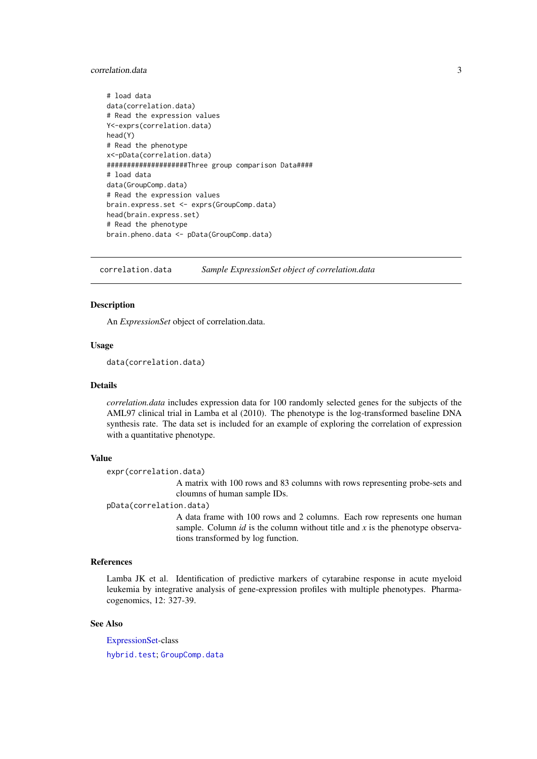#### <span id="page-2-0"></span>correlation.data 3

```
# load data
data(correlation.data)
# Read the expression values
Y<-exprs(correlation.data)
head(Y)
# Read the phenotype
x<-pData(correlation.data)
####################Three group comparison Data####
# load data
data(GroupComp.data)
# Read the expression values
brain.express.set <- exprs(GroupComp.data)
head(brain.express.set)
# Read the phenotype
brain.pheno.data <- pData(GroupComp.data)
```
<span id="page-2-1"></span>correlation.data *Sample ExpressionSet object of correlation.data*

#### Description

An *ExpressionSet* object of correlation.data.

#### Usage

data(correlation.data)

#### Details

*correlation.data* includes expression data for 100 randomly selected genes for the subjects of the AML97 clinical trial in Lamba et al (2010). The phenotype is the log-transformed baseline DNA synthesis rate. The data set is included for an example of exploring the correlation of expression with a quantitative phenotype.

#### Value

expr(correlation.data)

A matrix with 100 rows and 83 columns with rows representing probe-sets and cloumns of human sample IDs.

pData(correlation.data)

A data frame with 100 rows and 2 columns. Each row represents one human sample. Column  $id$  is the column without title and  $x$  is the phenotype observations transformed by log function.

# References

Lamba JK et al. Identification of predictive markers of cytarabine response in acute myeloid leukemia by integrative analysis of gene-expression profiles with multiple phenotypes. Pharmacogenomics, 12: 327-39.

# See Also

[ExpressionSet-](#page-0-0)class [hybrid.test](#page-5-1); [GroupComp.data](#page-4-1)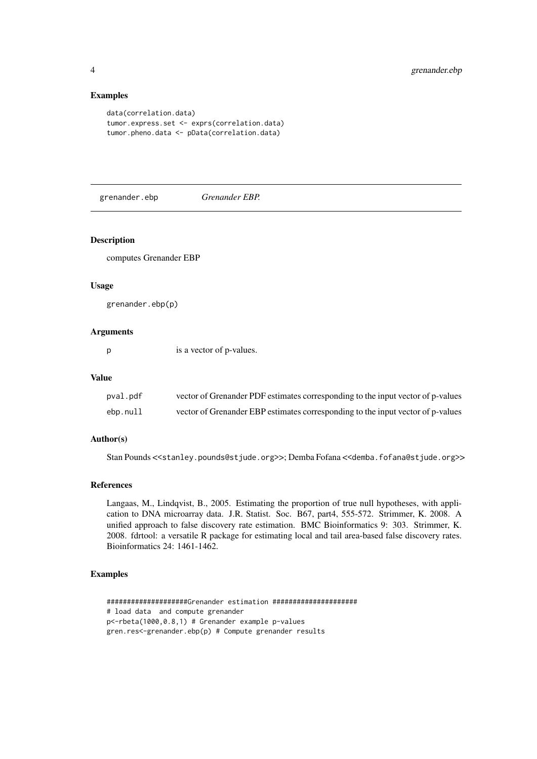# Examples

```
data(correlation.data)
tumor.express.set <- exprs(correlation.data)
tumor.pheno.data <- pData(correlation.data)
```
grenander.ebp *Grenander EBP.*

#### Description

computes Grenander EBP

#### Usage

grenander.ebp(p)

# Arguments

p is a vector of p-values.

#### Value

| pval.pdf | vector of Grenander PDF estimates corresponding to the input vector of p-values |
|----------|---------------------------------------------------------------------------------|
| ebp.null | vector of Grenander EBP estimates corresponding to the input vector of p-values |

#### Author(s)

Stan Pounds <<stanley.pounds@stjude.org>>; Demba Fofana <<demba.fofana@stjude.org>>

#### References

Langaas, M., Lindqvist, B., 2005. Estimating the proportion of true null hypotheses, with application to DNA microarray data. J.R. Statist. Soc. B67, part4, 555-572. Strimmer, K. 2008. A unified approach to false discovery rate estimation. BMC Bioinformatics 9: 303. Strimmer, K. 2008. fdrtool: a versatile R package for estimating local and tail area-based false discovery rates. Bioinformatics 24: 1461-1462.

#### Examples

####################Grenander estimation ##################### # load data and compute grenander p<-rbeta(1000,0.8,1) # Grenander example p-values gren.res<-grenander.ebp(p) # Compute grenander results

<span id="page-3-0"></span>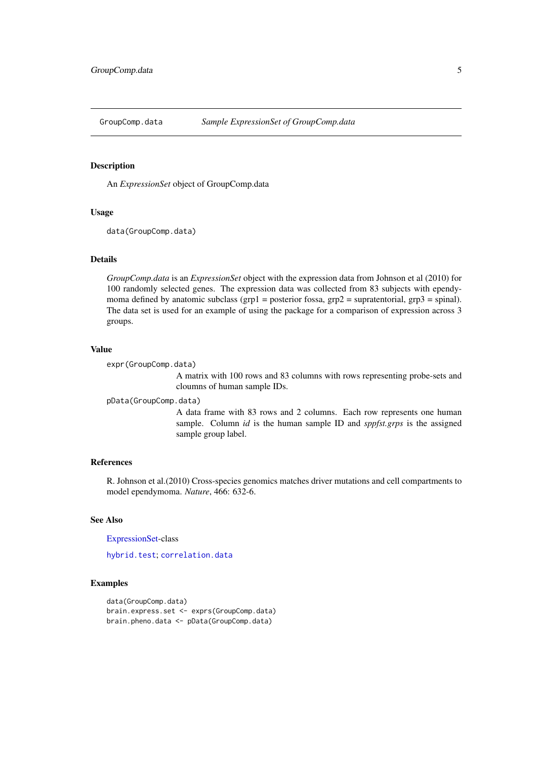<span id="page-4-1"></span><span id="page-4-0"></span>

An *ExpressionSet* object of GroupComp.data

#### Usage

```
data(GroupComp.data)
```
# Details

*GroupComp.data* is an *ExpressionSet* object with the expression data from Johnson et al (2010) for 100 randomly selected genes. The expression data was collected from 83 subjects with ependymoma defined by anatomic subclass (grp1 = posterior fossa, grp2 = supratentorial, grp3 = spinal). The data set is used for an example of using the package for a comparison of expression across 3 groups.

# Value

```
expr(GroupComp.data)
```
A matrix with 100 rows and 83 columns with rows representing probe-sets and cloumns of human sample IDs.

pData(GroupComp.data)

A data frame with 83 rows and 2 columns. Each row represents one human sample. Column *id* is the human sample ID and *sppfst.grps* is the assigned sample group label.

#### References

R. Johnson et al.(2010) Cross-species genomics matches driver mutations and cell compartments to model ependymoma. *Nature*, 466: 632-6.

# See Also

[ExpressionSet-](#page-0-0)class

[hybrid.test](#page-5-1); [correlation.data](#page-2-1)

```
data(GroupComp.data)
brain.express.set <- exprs(GroupComp.data)
brain.pheno.data <- pData(GroupComp.data)
```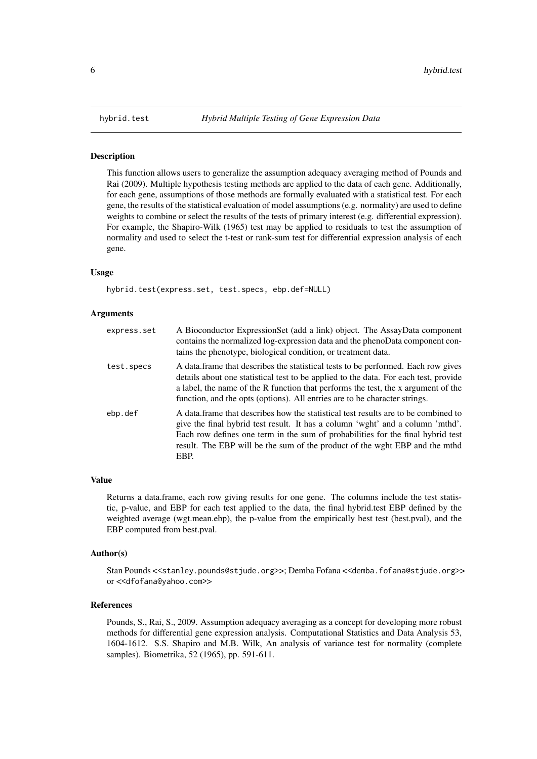<span id="page-5-1"></span><span id="page-5-0"></span>This function allows users to generalize the assumption adequacy averaging method of Pounds and Rai (2009). Multiple hypothesis testing methods are applied to the data of each gene. Additionally, for each gene, assumptions of those methods are formally evaluated with a statistical test. For each gene, the results of the statistical evaluation of model assumptions (e.g. normality) are used to define weights to combine or select the results of the tests of primary interest (e.g. differential expression). For example, the Shapiro-Wilk (1965) test may be applied to residuals to test the assumption of normality and used to select the t-test or rank-sum test for differential expression analysis of each gene.

#### Usage

hybrid.test(express.set, test.specs, ebp.def=NULL)

#### Arguments

| express.set | A Bioconductor ExpressionSet (add a link) object. The AssayData component<br>contains the normalized log-expression data and the phenoData component con-<br>tains the phenotype, biological condition, or treatment data.                                                                                                                     |
|-------------|------------------------------------------------------------------------------------------------------------------------------------------------------------------------------------------------------------------------------------------------------------------------------------------------------------------------------------------------|
| test.specs  | A data frame that describes the statistical tests to be performed. Each row gives<br>details about one statistical test to be applied to the data. For each test, provide<br>a label, the name of the R function that performs the test, the x argument of the<br>function, and the opts (options). All entries are to be character strings.   |
| ebp.def     | A data frame that describes how the statistical test results are to be combined to<br>give the final hybrid test result. It has a column 'went' and a column 'mthd'.<br>Each row defines one term in the sum of probabilities for the final hybrid test<br>result. The EBP will be the sum of the product of the wght EBP and the mthd<br>EBP. |

#### Value

Returns a data.frame, each row giving results for one gene. The columns include the test statistic, p-value, and EBP for each test applied to the data, the final hybrid.test EBP defined by the weighted average (wgt.mean.ebp), the p-value from the empirically best test (best.pval), and the EBP computed from best.pval.

#### Author(s)

Stan Pounds <<stanley.pounds@stjude.org>>; Demba Fofana <<demba.fofana@stjude.org>> or <<dfofana@yahoo.com>>

### References

Pounds, S., Rai, S., 2009. Assumption adequacy averaging as a concept for developing more robust methods for differential gene expression analysis. Computational Statistics and Data Analysis 53, 1604-1612. S.S. Shapiro and M.B. Wilk, An analysis of variance test for normality (complete samples). Biometrika, 52 (1965), pp. 591-611.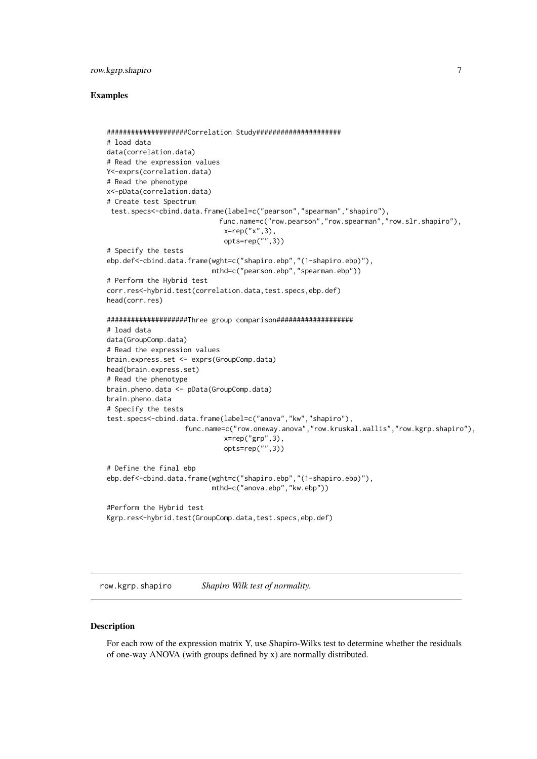#### <span id="page-6-0"></span>row.kgrp.shapiro 7

#### Examples

```
####################Correlation Study#####################
# load data
data(correlation.data)
# Read the expression values
Y<-exprs(correlation.data)
# Read the phenotype
x<-pData(correlation.data)
# Create test Spectrum
 test.specs<-cbind.data.frame(label=c("pearson","spearman","shapiro"),
                            func.name=c("row.pearson","row.spearman","row.slr.shapiro"),
                             x=rep("x",3),
                             opts=rep("",3))
# Specify the tests
ebp.def<-cbind.data.frame(wght=c("shapiro.ebp","(1-shapiro.ebp)"),
                          mthd=c("pearson.ebp","spearman.ebp"))
# Perform the Hybrid test
corr.res<-hybrid.test(correlation.data,test.specs,ebp.def)
head(corr.res)
####################Three group comparison###################
# load data
data(GroupComp.data)
# Read the expression values
brain.express.set <- exprs(GroupComp.data)
head(brain.express.set)
# Read the phenotype
brain.pheno.data <- pData(GroupComp.data)
brain.pheno.data
# Specify the tests
test.specs<-cbind.data.frame(label=c("anova","kw","shapiro"),
                   func.name=c("row.oneway.anova","row.kruskal.wallis","row.kgrp.shapiro"),
                             x=rep("grp",3),
                             opts=rep("",3))
# Define the final ebp
ebp.def<-cbind.data.frame(wght=c("shapiro.ebp","(1-shapiro.ebp)"),
                          mthd=c("anova.ebp","kw.ebp"))
#Perform the Hybrid test
Kgrp.res<-hybrid.test(GroupComp.data,test.specs,ebp.def)
```
row.kgrp.shapiro *Shapiro Wilk test of normality.*

#### Description

For each row of the expression matrix Y, use Shapiro-Wilks test to determine whether the residuals of one-way ANOVA (with groups defined by x) are normally distributed.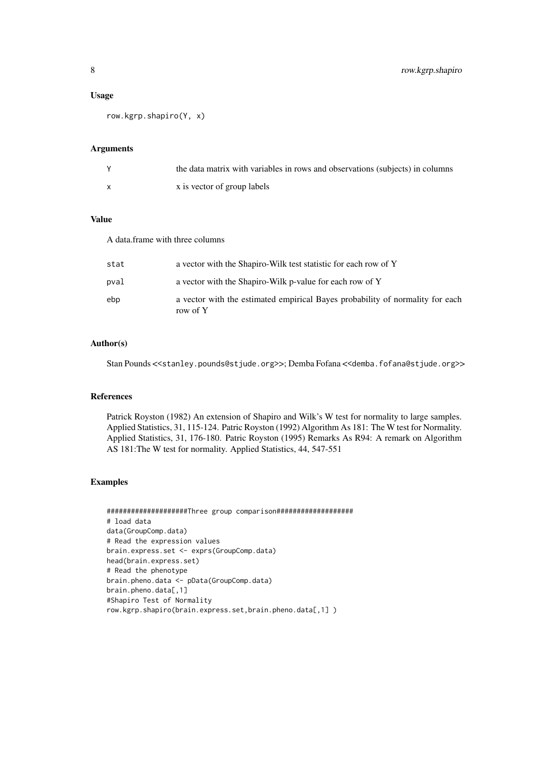#### Usage

row.kgrp.shapiro(Y, x)

#### Arguments

| the data matrix with variables in rows and observations (subjects) in columns |
|-------------------------------------------------------------------------------|
| x is vector of group labels                                                   |

# Value

A data.frame with three columns

| stat | a vector with the Shapiro-Wilk test statistic for each row of Y                           |
|------|-------------------------------------------------------------------------------------------|
| pval | a vector with the Shapiro-Wilk p-value for each row of Y                                  |
| ebp  | a vector with the estimated empirical Bayes probability of normality for each<br>row of Y |

# Author(s)

Stan Pounds <<stanley.pounds@stjude.org>>; Demba Fofana <<demba.fofana@stjude.org>>

#### References

Patrick Royston (1982) An extension of Shapiro and Wilk's W test for normality to large samples. Applied Statistics, 31, 115-124. Patric Royston (1992) Algorithm As 181: The W test for Normality. Applied Statistics, 31, 176-180. Patric Royston (1995) Remarks As R94: A remark on Algorithm AS 181:The W test for normality. Applied Statistics, 44, 547-551

```
####################Three group comparison###################
# load data
data(GroupComp.data)
# Read the expression values
brain.express.set <- exprs(GroupComp.data)
head(brain.express.set)
# Read the phenotype
brain.pheno.data <- pData(GroupComp.data)
brain.pheno.data[,1]
#Shapiro Test of Normality
row.kgrp.shapiro(brain.express.set,brain.pheno.data[,1] )
```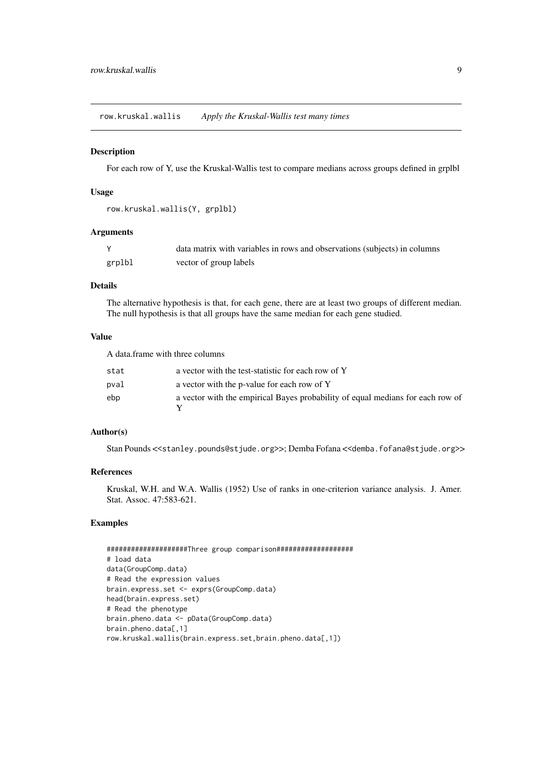<span id="page-8-0"></span>row.kruskal.wallis *Apply the Kruskal-Wallis test many times*

# Description

For each row of Y, use the Kruskal-Wallis test to compare medians across groups defined in grplbl

# Usage

```
row.kruskal.wallis(Y, grplbl)
```
#### Arguments

|        | data matrix with variables in rows and observations (subjects) in columns |
|--------|---------------------------------------------------------------------------|
| grplbl | vector of group labels                                                    |

#### Details

The alternative hypothesis is that, for each gene, there are at least two groups of different median. The null hypothesis is that all groups have the same median for each gene studied.

# Value

A data.frame with three columns

| stat | a vector with the test-statistic for each row of Y                             |
|------|--------------------------------------------------------------------------------|
| pval | a vector with the p-value for each row of Y                                    |
| ebp  | a vector with the empirical Bayes probability of equal medians for each row of |
|      |                                                                                |

# Author(s)

Stan Pounds <<stanley.pounds@stjude.org>>; Demba Fofana <<demba.fofana@stjude.org>>

# References

Kruskal, W.H. and W.A. Wallis (1952) Use of ranks in one-criterion variance analysis. J. Amer. Stat. Assoc. 47:583-621.

```
####################Three group comparison###################
# load data
data(GroupComp.data)
# Read the expression values
brain.express.set <- exprs(GroupComp.data)
head(brain.express.set)
# Read the phenotype
brain.pheno.data <- pData(GroupComp.data)
brain.pheno.data[,1]
row.kruskal.wallis(brain.express.set,brain.pheno.data[,1])
```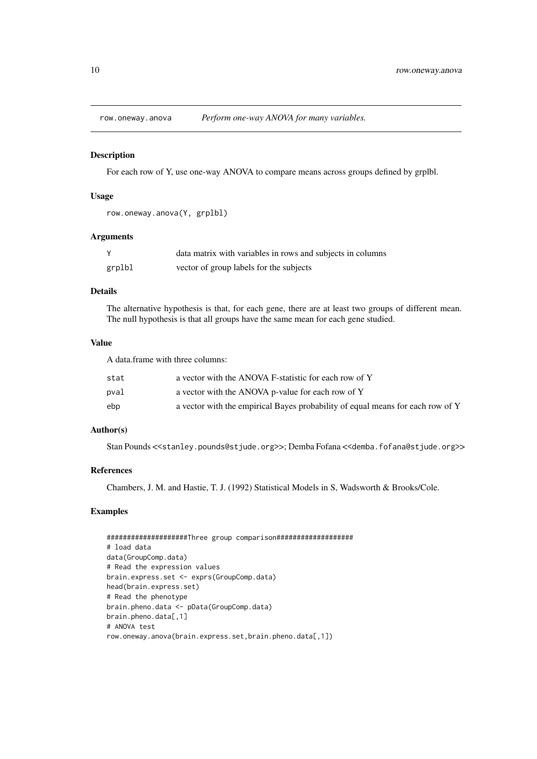<span id="page-9-0"></span>

For each row of Y, use one-way ANOVA to compare means across groups defined by grplbl.

# Usage

```
row.oneway.anova(Y, grplbl)
```
#### Arguments

|        | data matrix with variables in rows and subjects in columns |
|--------|------------------------------------------------------------|
| grplbl | vector of group labels for the subjects                    |

# Details

The alternative hypothesis is that, for each gene, there are at least two groups of different mean. The null hypothesis is that all groups have the same mean for each gene studied.

#### Value

A data.frame with three columns:

| stat | a vector with the ANOVA F-statistic for each row of Y                          |
|------|--------------------------------------------------------------------------------|
| pval | a vector with the ANOVA p-value for each row of Y                              |
| ebp  | a vector with the empirical Bayes probability of equal means for each row of Y |

# Author(s)

Stan Pounds <<stanley.pounds@stjude.org>>; Demba Fofana <<demba.fofana@stjude.org>>

### References

Chambers, J. M. and Hastie, T. J. (1992) Statistical Models in S, Wadsworth & Brooks/Cole.

```
####################Three group comparison###################
# load data
data(GroupComp.data)
# Read the expression values
brain.express.set <- exprs(GroupComp.data)
head(brain.express.set)
# Read the phenotype
brain.pheno.data <- pData(GroupComp.data)
brain.pheno.data[,1]
# ANOVA test
row.oneway.anova(brain.express.set,brain.pheno.data[,1])
```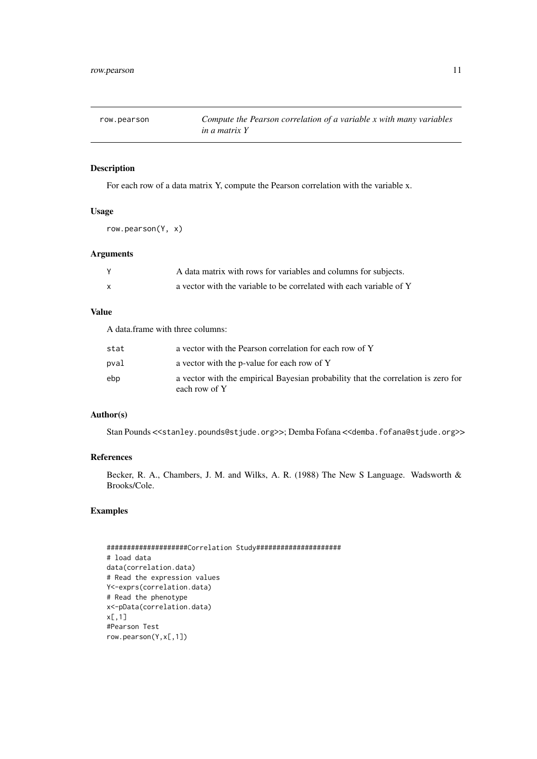<span id="page-10-0"></span>

| row.pearson | Compute the Pearson correlation of a variable x with many variables |
|-------------|---------------------------------------------------------------------|
|             | <i>in a matrix Y</i>                                                |

For each row of a data matrix Y, compute the Pearson correlation with the variable x.

# Usage

row.pearson(Y, x)

# Arguments

|    | A data matrix with rows for variables and columns for subjects.     |
|----|---------------------------------------------------------------------|
| X. | a vector with the variable to be correlated with each variable of Y |

# Value

A data.frame with three columns:

| stat | a vector with the Pearson correlation for each row of Y                                            |
|------|----------------------------------------------------------------------------------------------------|
| pval | a vector with the p-value for each row of Y                                                        |
| ebp  | a vector with the empirical Bayesian probability that the correlation is zero for<br>each row of Y |

# Author(s)

Stan Pounds <<stanley.pounds@stjude.org>>; Demba Fofana <<demba.fofana@stjude.org>>

# References

Becker, R. A., Chambers, J. M. and Wilks, A. R. (1988) The New S Language. Wadsworth & Brooks/Cole.

```
####################Correlation Study#####################
# load data
data(correlation.data)
# Read the expression values
Y<-exprs(correlation.data)
# Read the phenotype
x<-pData(correlation.data)
x[,1]
#Pearson Test
row.pearson(Y,x[,1])
```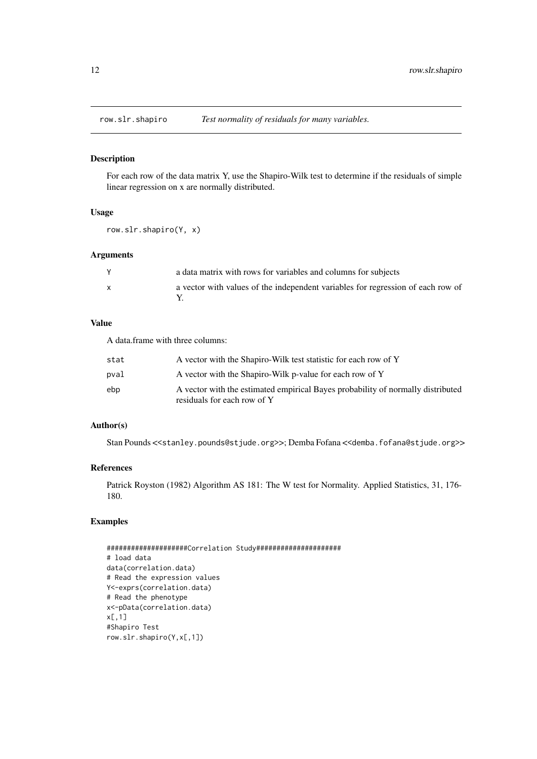<span id="page-11-0"></span>

For each row of the data matrix Y, use the Shapiro-Wilk test to determine if the residuals of simple linear regression on x are normally distributed.

# Usage

row.slr.shapiro(Y, x)

#### Arguments

|              | a data matrix with rows for variables and columns for subjects                  |
|--------------|---------------------------------------------------------------------------------|
| $\mathsf{x}$ | a vector with values of the independent variables for regression of each row of |

# Value

A data.frame with three columns:

| stat | A vector with the Shapiro-Wilk test statistic for each row of Y                                                |
|------|----------------------------------------------------------------------------------------------------------------|
| pval | A vector with the Shapiro-Wilk p-value for each row of Y                                                       |
| ebp  | A vector with the estimated empirical Bayes probability of normally distributed<br>residuals for each row of Y |

# Author(s)

Stan Pounds <<stanley.pounds@stjude.org>>; Demba Fofana <<demba.fofana@stjude.org>>

# References

Patrick Royston (1982) Algorithm AS 181: The W test for Normality. Applied Statistics, 31, 176- 180.

```
####################Correlation Study#####################
# load data
data(correlation.data)
# Read the expression values
Y<-exprs(correlation.data)
# Read the phenotype
x<-pData(correlation.data)
x[,1]
#Shapiro Test
row.slr.shapiro(Y,x[,1])
```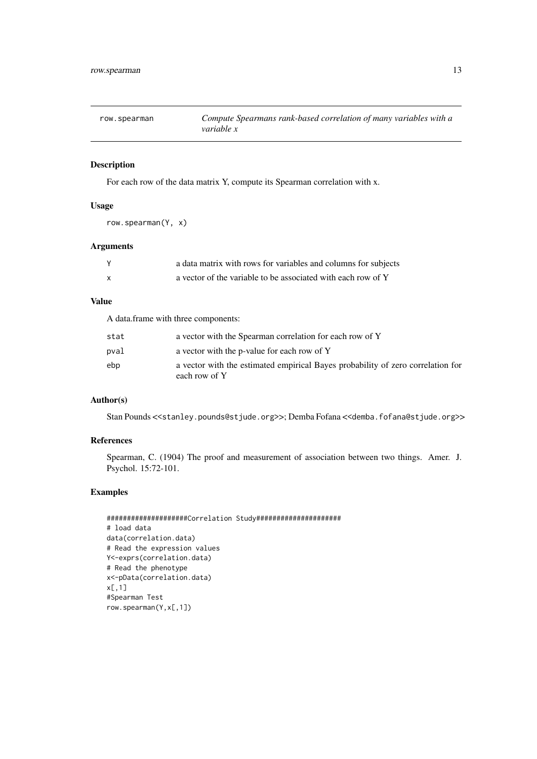<span id="page-12-0"></span>

| row.spearman | Compute Spearmans rank-based correlation of many variables with a |
|--------------|-------------------------------------------------------------------|
|              | <i>variable x</i>                                                 |

For each row of the data matrix Y, compute its Spearman correlation with x.

# Usage

row.spearman(Y, x)

# Arguments

| a data matrix with rows for variables and columns for subjects |
|----------------------------------------------------------------|
| a vector of the variable to be associated with each row of Y   |

# Value

A data.frame with three components:

| stat | a vector with the Spearman correlation for each row of Y                                         |
|------|--------------------------------------------------------------------------------------------------|
| pval | a vector with the p-value for each row of Y                                                      |
| ebp  | a vector with the estimated empirical Bayes probability of zero correlation for<br>each row of Y |

# Author(s)

Stan Pounds <<stanley.pounds@stjude.org>>; Demba Fofana <<demba.fofana@stjude.org>>

# References

Spearman, C. (1904) The proof and measurement of association between two things. Amer. J. Psychol. 15:72-101.

```
####################Correlation Study#####################
# load data
data(correlation.data)
# Read the expression values
Y<-exprs(correlation.data)
# Read the phenotype
x<-pData(correlation.data)
x[,1]
#Spearman Test
row.spearman(Y,x[,1])
```